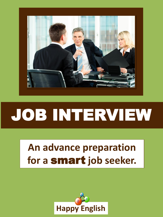

# JOB INTERVIEW

## **An advance preparation for a** smart **job seeker.**

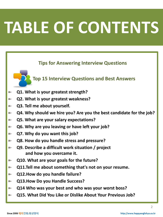# **TABLE OF CONTENTS**

#### **Tips for Answering Interview Questions**

#### **Top 15 Interview Questions and Best Answers**

- **Q1. What is your greatest strength?** s.
- **Q2. What is your greatest weakness?**  ×.
- **Q3. Tell me about yourself.**  z.
- **Q4. Why should we hire you? Are you the best candidate for the job?** ÷
- **Q5. What are your salary expectations?** z.
- **Q6. Why are you leaving or have left your job?**  E.
- **Q7. Why do you want this job?**  ÷
- **Q8. How do you handle stress and pressure?** s.
- **Q9. Describe a difficult work situation / project**  E. **and how you overcame it.**
- **Q10. What are your goals for the future?**  z.
- **Q11.Tell me about something that's not on your resume.** ÷
- **Q12.How do you handle failure?** z.
- **Q13.How Do you Handle Success?** ÷
- **Q14 Who was your best and who was your worst boss?** ÷
- **Q15. What Did You Like or Dislike About Your Previous Job?** ×.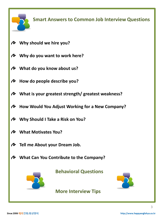

**Smart Answers to Common Job Interview Questions**

- **Why should we hire you?** N
- **Why do you want to work here?** s
- **What do you know about us?**
- **How do people describe you?** v
- **What is your greatest strength/ greatest weakness?**
- **How Would You Adjust Working for a New Company?** v
- **Why Should I Take a Risk on You?** N
- **What Motivates You?**
- **Tell me About your Dream Job.** v
- **What Can You Contribute to the Company?**



**Behavioral Questions**



#### **More Interview Tips**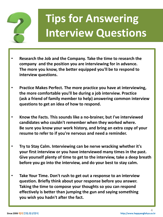

## **Tips for Answering Interview Questions**

- **Research the Job and the Company. Take the time to research the company and the position you are interviewing for in advance. The more you know, the better equipped you'll be to respond to interview questions.**
- **Practice Makes Perfect. The more practice you have at interviewing, the more comfortable you'll be during a job interview. Practice (ask a friend of family member to help) answering common interview questions to get an idea of how to respond.**
- **Know the Facts. This sounds like a no-brainer, but I've interviewed candidates who couldn't remember when they worked where. Be sure you know your work history, and bring an extra copy of your resume to refer to if you're nervous and need a reminder.**
- **Try to Stay Calm. Interviewing can be nerve wracking whether it's your first interview or you have interviewed many times in the past. Give yourself plenty of time to get to the interview, take a deep breath before you go into the interview, and do your best to stay calm.**
- **Take Your Time. Don't rush to get out a response to an interview question. Briefly think about your response before you answer. Taking the time to compose your thoughts so you can respond effectively is better than jumping the gun and saying something you wish you hadn't after the fact.**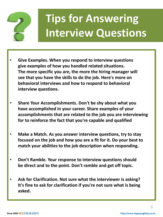

## **Tips for Answering Interview Questions**

- **Give Examples. When you respond to interview questions give examples of how you handled related situations. The more specific you are, the more the hiring manager will see that you have the skills to do the job. Here's more on behavioral interviews and how to respond to behavioral interview questions.**
- **Share Your Accomplishments. Don't be shy about what you have accomplished in your career. Share examples of your accomplishments that are related to the job you are interviewing for to reinforce the fact that you're capable and qualified**
- **Make a Match. As you answer interview questions, try to stay focused on the job and how you are a fit for it. Do your best to match your abilities to the job description when responding.**
- **Don't Ramble. Your response to interview questions should be direct and to the point. Don't ramble and get off topic.**
- **Ask for Clarification. Not sure what the interviewer is asking? It's fine to ask for clarification if you're not sure what is being asked.**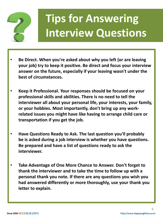

## **Tips for Answering Interview Questions**

- **Be Direct. When you're asked about why you left (or are leaving your job) try to keep it positive. Be direct and focus your interview answer on the future, especially if your leaving wasn't under the best of circumstances.**
- **Keep it Professional. Your responses should be focused on your professional skills and abilities. There is no need to tell the interviewer all about your personal life, your interests, your family, or your hobbies. Most importantly, don't bring up any workrelated issues you might have like having to arrange child care or transportation if you get the job.**
- **Have Questions Ready to Ask. The last question you'll probably be is asked during a job interview is whether you have questions. Be prepared and have a list of questions ready to ask the interviewer.**
- **Take Advantage of One More Chance to Answer. Don't forget to thank the interviewer and to take the time to follow up with a personal thank you note. If there are any questions you wish you had answered differently or more thoroughly, use your thank you letter to explain.**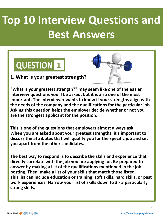## **Top 10 Interview Questions and Best Answers**





**"What is your greatest strength?" may seem like one of the easier interview questions you'll be asked, but it is also one of the most important. The interviewer wants to know if your strengths align with the needs of the company and the qualifications for the particular job. Asking this question helps the employer decide whether or not you are the strongest applicant for the position.**

**This is one of the questions that employers almost always ask. When you are asked about your greatest strengths, it's important to discuss the attributes that will qualify you for the specific job and set you apart from the other candidates.**

**The best way to respond is to describe the skills and experience that directly correlate with the job you are applying for. Be prepared to answer by making a list of the qualifications mentioned in the job posting. Then, make a list of your skills that match those listed. This list can include education or training, soft skills, hard skills, or past work experiences. Narrow your list of skills down to 3 - 5 particularly strong skills.**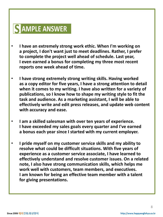- **I have an extremely strong work ethic. When I'm working on a project, I don't want just to meet deadlines. Rather, I prefer to complete the project well ahead of schedule. Last year, I even earned a bonus for completing my three most recent reports one week ahead of time.**
- **I have strong extremely strong writing skills. Having worked as a copy editor for five years, I have a strong attention to detail when it comes to my writing. I have also written for a variety of publications, so I know how to shape my writing style to fit the task and audience. As a marketing assistant, I will be able to effectively write and edit press releases, and update web content with accuracy and ease.**
- **I am a skilled salesman with over ten years of experience. I have exceeded my sales goals every quarter and I've earned a bonus each year since I started with my current employer.**
- **I pride myself on my customer service skills and my ability to resolve what could be difficult situations. With five years of experience as a customer service associate, I have learned to effectively understand and resolve customer issues. On a related note, I also have strong communication skills, which helps me work well with customers, team members, and executives. I am known for being an effective team member with a talent for giving presentations.**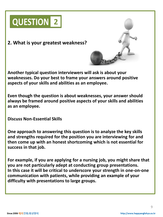

**2. What is your greatest weakness?** 

**Another typical question interviewers will ask is about your weaknesses. Do your best to frame your answers around positive aspects of your skills and abilities as an employee.**

**Even though the question is about weaknesses, your answer should always be framed around positive aspects of your skills and abilities as an employee.**

**Discuss Non-Essential Skills**

**One approach to answering this question is to analyze the key skills and strengths required for the position you are interviewing for and then come up with an honest shortcoming which is not essential for success in that job.**

**For example, if you are applying for a nursing job, you might share that you are not particularly adept at conducting group presentations. In this case it will be critical to underscore your strength in one-on-one communication with patients, while providing an example of your difficulty with presentations to large groups.**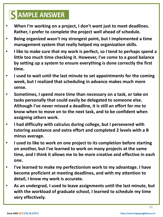- **When I'm working on a project, I don't want just to meet deadlines. Rather, I prefer to complete the project well ahead of schedule.**
- **Being organized wasn't my strongest point, but I implemented a time management system that really helped my organization skills.**
- **I like to make sure that my work is perfect, so I tend to perhaps spend a little too much time checking it. However, I've come to a good balance by setting up a system to ensure everything is done correctly the first time.**
- **I used to wait until the last minute to set appointments for the coming week, but I realized that scheduling in advance makes much more sense.**
- **Sometimes, I spend more time than necessary on a task, or take on tasks personally that could easily be delegated to someone else. Although I've never missed a deadline, it is still an effort for me to know when to move on to the next task, and to be confident when assigning others work.**
- **I had difficulty with calculus during college, but I persevered with tutoring assistance and extra effort and completed 2 levels with a B minus average.**
- **I used to like to work on one project to its completion before starting on another, but I've learned to work on many projects at the same time, and I think it allows me to be more creative and effective in each one.**
- **I've learned to make my perfectionism work to my advantage. I have become proficient at meeting deadlines, and with my attention to detail, I know my work is accurate.**
- **As an undergrad, I used to leave assignments until the last minute, but with the workload of graduate school, I learned to schedule my time very effectively.**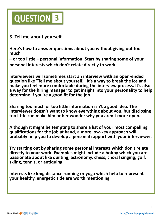

**3. Tell me about yourself.** 

**Here's how to answer questions about you without giving out too much** 

**– or too little – personal information. Start by sharing some of your personal interests which don't relate directly to work.**

**Interviewers will sometimes start an interview with an open-ended question like "Tell me about yourself." It's a way to break the ice and make you feel more comfortable during the interview process. It's also a way for the hiring manager to get insight into your personality to help determine if you're a good fit for the job.**

**Sharing too much or too little information isn't a good idea. The interviewer doesn't want to know everything about you, but disclosing too little can make him or her wonder why you aren't more open.**

**Although it might be tempting to share a list of your most compelling qualifications for the job at hand, a more low-key approach will probably help you to develop a personal rapport with your interviewer.**

**Try starting out by sharing some personal interests which don't relate directly to your work. Examples might include a hobby which you are passionate about like quilting, astronomy, chess, choral singing, golf, skiing, tennis, or antiquing.**

**Interests like long distance running or yoga which help to represent your healthy, energetic side are worth mentioning.**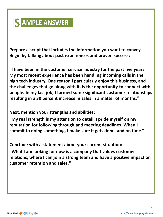**Prepare a script that includes the information you want to convey. Begin by talking about past experiences and proven success:**

**"I have been in the customer service industry for the past five years. My most recent experience has been handling incoming calls in the high tech industry. One reason I particularly enjoy this business, and the challenges that go along with it, is the opportunity to connect with people. In my last job, I formed some significant customer relationships resulting in a 30 percent increase in sales in a matter of months."**

**Next, mention your strengths and abilities:**

**"My real strength is my attention to detail. I pride myself on my reputation for following through and meeting deadlines. When I commit to doing something, I make sure it gets done, and on time."**

**Conclude with a statement about your current situation:**

**"What I am looking for now is a company that values customer relations, where I can join a strong team and have a positive impact on customer retention and sales."**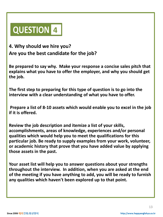

### **4. Why should we hire you? Are you the best candidate for the job?**

**Be prepared to say why. Make your response a concise sales pitch that explains what you have to offer the employer, and why you should get the job.**

**The first step to preparing for this type of question is to go into the interview with a clear understanding of what you have to offer.**

**Prepare a list of 8-10 assets which would enable you to excel in the job if it is offered.** 

**Review the job description and itemize a list of your skills, accomplishments, areas of knowledge, experiences and/or personal qualities which would help you to meet the qualifications for this particular job. Be ready to supply examples from your work, volunteer, or academic history that prove that you have added value by applying those assets in the past.**

**Your asset list will help you to answer questions about your strengths throughout the interview. In addition, when you are asked at the end of the meeting if you have anything to add, you will be ready to furnish any qualities which haven't been explored up to that point.**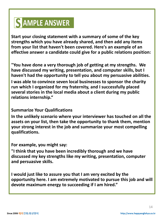**Start your closing statement with a summary of some of the key strengths which you have already shared, and then add any items from your list that haven't been covered. Here's an example of an effective answer a candidate could give for a public relations position:**

**"You have done a very thorough job of getting at my strengths. We have discussed my writing, presentation, and computer skills, but I haven't had the opportunity to tell you about my persuasive abilities. I was able to convince seven local businesses to sponsor the charity run which I organized for my fraternity, and I successfully placed several stories in the local media about a client during my public relations internship."**

#### **Summarize Your Qualifications**

**In the unlikely scenario where your interviewer has touched on all the assets on your list, then take the opportunity to thank them, mention your strong interest in the job and summarize your most compelling qualifications.**

**For example, you might say:**

**"I think that you have been incredibly thorough and we have discussed my key strengths like my writing, presentation, computer and persuasive skills.**

**I would just like to assure you that I am very excited by the opportunity here. I am extremely motivated to pursue this job and will devote maximum energy to succeeding if I am hired."**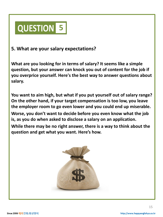## **5**

#### **5. What are your salary expectations?**

**What are you looking for in terms of salary? It seems like a simple question, but your answer can knock you out of content for the job if you overprice yourself. Here's the best way to answer questions about salary.**

**You want to aim high, but what if you put yourself out of salary range? On the other hand, if your target compensation is too low, you leave the employer room to go even lower and you could end up miserable. Worse, you don't want to decide before you even know what the job is, as you do when asked to disclose a salary on an application.**

**While there may be no right answer, there is a way to think about the question and get what you want. Here's how.**

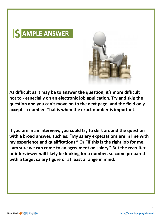

**As difficult as it may be to answer the question, it's more difficult not to - especially on an electronic job application. Try and skip the question and you can't move on to the next page, and the field only accepts a number. That is when the exact number is important.**

**If you are in an interview, you could try to skirt around the question with a broad answer, such as: "My salary expectations are in line with my experience and qualifications." Or "If this is the right job for me, I am sure we can come to an agreement on salary." But the recruiter or interviewer will likely be looking for a number, so come prepared with a target salary figure or at least a range in mind.**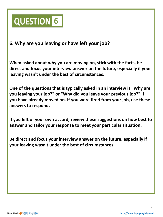

#### **6. Why are you leaving or have left your job?**

**When asked about why you are moving on, stick with the facts, be direct and focus your interview answer on the future, especially if your leaving wasn't under the best of circumstances.**

**One of the questions that is typically asked in an interview is "Why are you leaving your job?" or "Why did you leave your previous job?" if you have already moved on. If you were fired from your job, use these answers to respond.**

**If you left of your own accord, review these suggestions on how best to answer and tailor your response to meet your particular situation.**

**Be direct and focus your interview answer on the future, especially if your leaving wasn't under the best of circumstances.**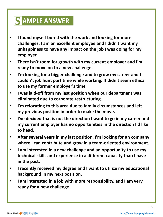- **I found myself bored with the work and looking for more challenges. I am an excellent employee and I didn't want my unhappiness to have any impact on the job I was doing for my employer.**
- **There isn't room for growth with my current employer and I'm ready to move on to a new challenge.**
- **I'm looking for a bigger challenge and to grow my career and I couldn't job hunt part time while working. It didn't seem ethical to use my former employer's time**
- **I was laid-off from my last position when our department was eliminated due to corporate restructuring.**
- **I'm relocating to this area due to family circumstances and left my previous position in order to make the move.**
- **I've decided that is not the direction I want to go in my career and my current employer has no opportunities in the direction I'd like to head.**
- **After several years in my last position, I'm looking for an company where I can contribute and grow in a team-oriented environment.**
- **I am interested in a new challenge and an opportunity to use my technical skills and experience in a different capacity than I have in the past.**
- **I recently received my degree and I want to utilize my educational background in my next position.**
- **I am interested in a job with more responsibility, and I am very ready for a new challenge.**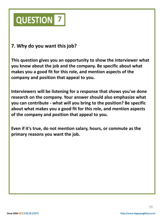

#### **7. Why do you want this job?**

**This question gives you an opportunity to show the interviewer what you know about the job and the company. Be specific about what makes you a good fit for this role, and mention aspects of the company and position that appeal to you.**

**Interviewers will be listening for a response that shows you've done research on the company. Your answer should also emphasize what you can contribute - what will you bring to the position? Be specific about what makes you a good fit for this role, and mention aspects of the company and position that appeal to you.**

**Even if it's true, do not mention salary, hours, or commute as the primary reasons you want the job.**